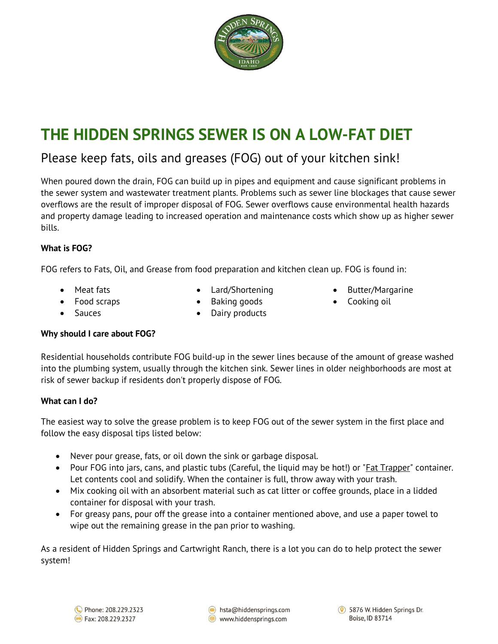

# **THE HIDDEN SPRINGS SEWER IS ON A LOW-FAT DIET**

### Please keep fats, oils and greases (FOG) out of your kitchen sink!

When poured down the drain, FOG can build up in pipes and equipment and cause significant problems in the sewer system and wastewater treatment plants. Problems such as sewer line blockages that cause sewer overflows are the result of improper disposal of FOG. Sewer overflows cause environmental health hazards and property damage leading to increased operation and maintenance costs which show up as higher sewer bills.

#### **What is FOG?**

FOG refers to Fats, Oil, and Grease from food preparation and kitchen clean up. FOG is found in:

- 
- **Meat fats Lard/Shortening Butter/Margarine**
- Food scraps Baking goods Cooking oil
- - Sauces Dairy products

#### **Why should I care about FOG?**

Residential households contribute FOG build-up in the sewer lines because of the amount of grease washed into the plumbing system, usually through the kitchen sink. Sewer lines in older neighborhoods are most at risk of sewer backup if residents don't properly dispose of FOG.

#### **What can I do?**

The easiest way to solve the grease problem is to keep FOG out of the sewer system in the first place and follow the easy disposal tips listed below:

- Never pour grease, fats, or oil down the sink or garbage disposal.
- Pour FOG into jars, cans, and plastic tubs (Careful, the liquid may be hot!) or ["Fat Trapper"](https://www.rangekleen.com/collections/fat-trapper) container. Let contents cool and solidify. When the container is full, throw away with your trash.
- Mix cooking oil with an absorbent material such as cat litter or coffee grounds, place in a lidded container for disposal with your trash.
- For greasy pans, pour off the grease into a container mentioned above, and use a paper towel to wipe out the remaining grease in the pan prior to washing.

As a resident of Hidden Springs and Cartwright Ranch, there is a lot you can do to help protect the sewer system!